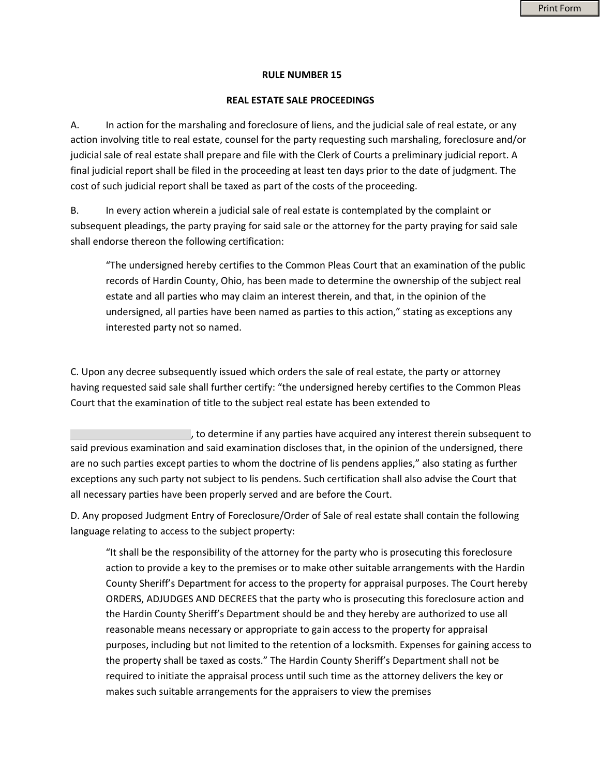## **RULE NUMBER 15**

## **REAL ESTATE SALE PROCEEDINGS**

A. In action for the marshaling and foreclosure of liens, and the judicial sale of real estate, or any action involving title to real estate, counsel for the party requesting such marshaling, foreclosure and/or judicial sale of real estate shall prepare and file with the Clerk of Courts a preliminary judicial report. A final judicial report shall be filed in the proceeding at least ten days prior to the date of judgment. The cost of such judicial report shall be taxed as part of the costs of the proceeding.

B. In every action wherein a judicial sale of real estate is contemplated by the complaint or subsequent pleadings, the party praying for said sale or the attorney for the party praying for said sale shall endorse thereon the following certification:

"The undersigned hereby certifies to the Common Pleas Court that an examination of the public records of Hardin County, Ohio, has been made to determine the ownership of the subject real estate and all parties who may claim an interest therein, and that, in the opinion of the undersigned, all parties have been named as parties to this action," stating as exceptions any interested party not so named.

C. Upon any decree subsequently issued which orders the sale of real estate, the party or attorney having requested said sale shall further certify: "the undersigned hereby certifies to the Common Pleas Court that the examination of title to the subject real estate has been extended to

, to determine if any parties have acquired any interest therein subsequent to said previous examination and said examination discloses that, in the opinion of the undersigned, there are no such parties except parties to whom the doctrine of lis pendens applies," also stating as further exceptions any such party not subject to lis pendens. Such certification shall also advise the Court that all necessary parties have been properly served and are before the Court.

D. Any proposed Judgment Entry of Foreclosure/Order of Sale of real estate shall contain the following language relating to access to the subject property:

"It shall be the responsibility of the attorney for the party who is prosecuting this foreclosure action to provide a key to the premises or to make other suitable arrangements with the Hardin County Sheriff's Department for access to the property for appraisal purposes. The Court hereby ORDERS, ADJUDGES AND DECREES that the party who is prosecuting this foreclosure action and the Hardin County Sheriff's Department should be and they hereby are authorized to use all reasonable means necessary or appropriate to gain access to the property for appraisal purposes, including but not limited to the retention of a locksmith. Expenses for gaining access to the property shall be taxed as costs." The Hardin County Sheriff's Department shall not be required to initiate the appraisal process until such time as the attorney delivers the key or makes such suitable arrangements for the appraisers to view the premises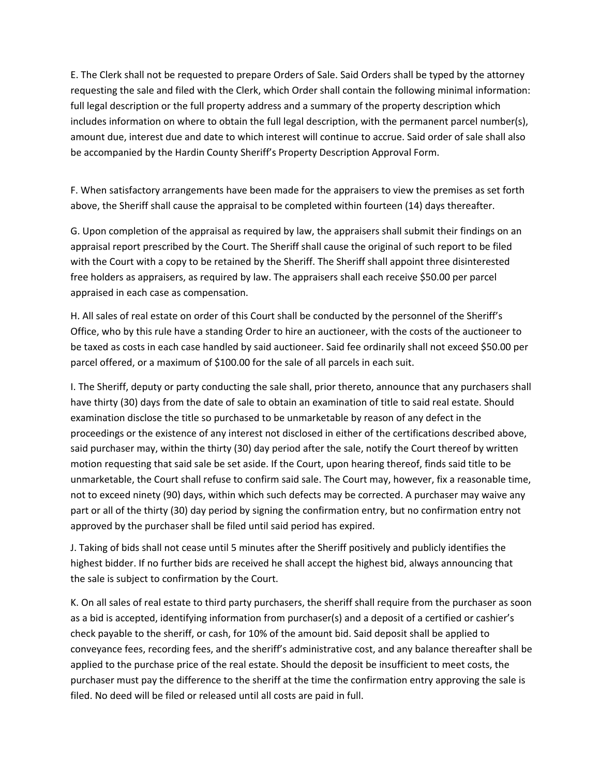E. The Clerk shall not be requested to prepare Orders of Sale. Said Orders shall be typed by the attorney requesting the sale and filed with the Clerk, which Order shall contain the following minimal information: full legal description or the full property address and a summary of the property description which includes information on where to obtain the full legal description, with the permanent parcel number(s), amount due, interest due and date to which interest will continue to accrue. Said order of sale shall also be accompanied by the Hardin County Sheriff's Property Description Approval Form.

F. When satisfactory arrangements have been made for the appraisers to view the premises as set forth above, the Sheriff shall cause the appraisal to be completed within fourteen (14) days thereafter.

G. Upon completion of the appraisal as required by law, the appraisers shall submit their findings on an appraisal report prescribed by the Court. The Sheriff shall cause the original of such report to be filed with the Court with a copy to be retained by the Sheriff. The Sheriff shall appoint three disinterested free holders as appraisers, as required by law. The appraisers shall each receive \$50.00 per parcel appraised in each case as compensation.

H. All sales of real estate on order of this Court shall be conducted by the personnel of the Sheriff's Office, who by this rule have a standing Order to hire an auctioneer, with the costs of the auctioneer to be taxed as costs in each case handled by said auctioneer. Said fee ordinarily shall not exceed \$50.00 per parcel offered, or a maximum of \$100.00 for the sale of all parcels in each suit.

I. The Sheriff, deputy or party conducting the sale shall, prior thereto, announce that any purchasers shall have thirty (30) days from the date of sale to obtain an examination of title to said real estate. Should examination disclose the title so purchased to be unmarketable by reason of any defect in the proceedings or the existence of any interest not disclosed in either of the certifications described above, said purchaser may, within the thirty (30) day period after the sale, notify the Court thereof by written motion requesting that said sale be set aside. If the Court, upon hearing thereof, finds said title to be unmarketable, the Court shall refuse to confirm said sale. The Court may, however, fix a reasonable time, not to exceed ninety (90) days, within which such defects may be corrected. A purchaser may waive any part or all of the thirty (30) day period by signing the confirmation entry, but no confirmation entry not approved by the purchaser shall be filed until said period has expired.

J. Taking of bids shall not cease until 5 minutes after the Sheriff positively and publicly identifies the highest bidder. If no further bids are received he shall accept the highest bid, always announcing that the sale is subject to confirmation by the Court.

K. On all sales of real estate to third party purchasers, the sheriff shall require from the purchaser as soon as a bid is accepted, identifying information from purchaser(s) and a deposit of a certified or cashier's check payable to the sheriff, or cash, for 10% of the amount bid. Said deposit shall be applied to conveyance fees, recording fees, and the sheriff's administrative cost, and any balance thereafter shall be applied to the purchase price of the real estate. Should the deposit be insufficient to meet costs, the purchaser must pay the difference to the sheriff at the time the confirmation entry approving the sale is filed. No deed will be filed or released until all costs are paid in full.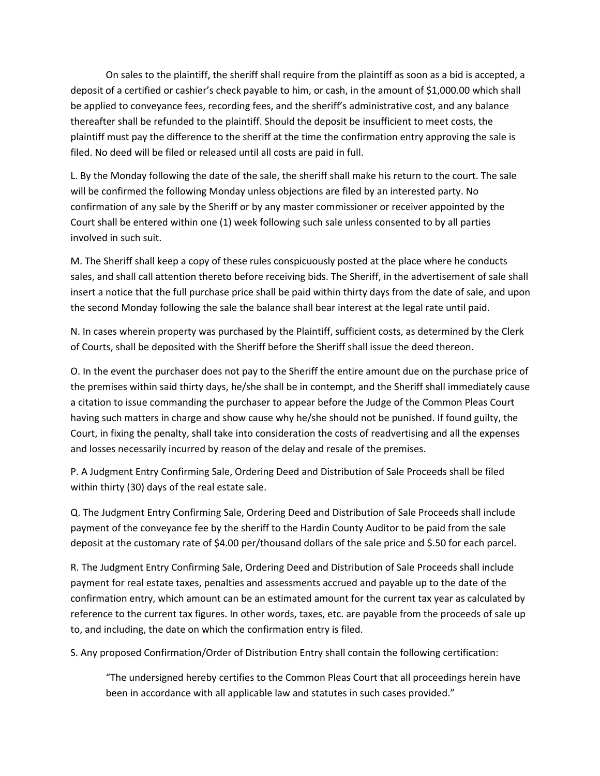On sales to the plaintiff, the sheriff shall require from the plaintiff as soon as a bid is accepted, a deposit of a certified or cashier's check payable to him, or cash, in the amount of \$1,000.00 which shall be applied to conveyance fees, recording fees, and the sheriff's administrative cost, and any balance thereafter shall be refunded to the plaintiff. Should the deposit be insufficient to meet costs, the plaintiff must pay the difference to the sheriff at the time the confirmation entry approving the sale is filed. No deed will be filed or released until all costs are paid in full.

L. By the Monday following the date of the sale, the sheriff shall make his return to the court. The sale will be confirmed the following Monday unless objections are filed by an interested party. No confirmation of any sale by the Sheriff or by any master commissioner or receiver appointed by the Court shall be entered within one (1) week following such sale unless consented to by all parties involved in such suit.

M. The Sheriff shall keep a copy of these rules conspicuously posted at the place where he conducts sales, and shall call attention thereto before receiving bids. The Sheriff, in the advertisement of sale shall insert a notice that the full purchase price shall be paid within thirty days from the date of sale, and upon the second Monday following the sale the balance shall bear interest at the legal rate until paid.

N. In cases wherein property was purchased by the Plaintiff, sufficient costs, as determined by the Clerk of Courts, shall be deposited with the Sheriff before the Sheriff shall issue the deed thereon.

O. In the event the purchaser does not pay to the Sheriff the entire amount due on the purchase price of the premises within said thirty days, he/she shall be in contempt, and the Sheriff shall immediately cause a citation to issue commanding the purchaser to appear before the Judge of the Common Pleas Court having such matters in charge and show cause why he/she should not be punished. If found guilty, the Court, in fixing the penalty, shall take into consideration the costs of readvertising and all the expenses and losses necessarily incurred by reason of the delay and resale of the premises.

P. A Judgment Entry Confirming Sale, Ordering Deed and Distribution of Sale Proceeds shall be filed within thirty (30) days of the real estate sale.

Q. The Judgment Entry Confirming Sale, Ordering Deed and Distribution of Sale Proceeds shall include payment of the conveyance fee by the sheriff to the Hardin County Auditor to be paid from the sale deposit at the customary rate of \$4.00 per/thousand dollars of the sale price and \$.50 for each parcel.

R. The Judgment Entry Confirming Sale, Ordering Deed and Distribution of Sale Proceeds shall include payment for real estate taxes, penalties and assessments accrued and payable up to the date of the confirmation entry, which amount can be an estimated amount for the current tax year as calculated by reference to the current tax figures. In other words, taxes, etc. are payable from the proceeds of sale up to, and including, the date on which the confirmation entry is filed.

S. Any proposed Confirmation/Order of Distribution Entry shall contain the following certification:

"The undersigned hereby certifies to the Common Pleas Court that all proceedings herein have been in accordance with all applicable law and statutes in such cases provided."